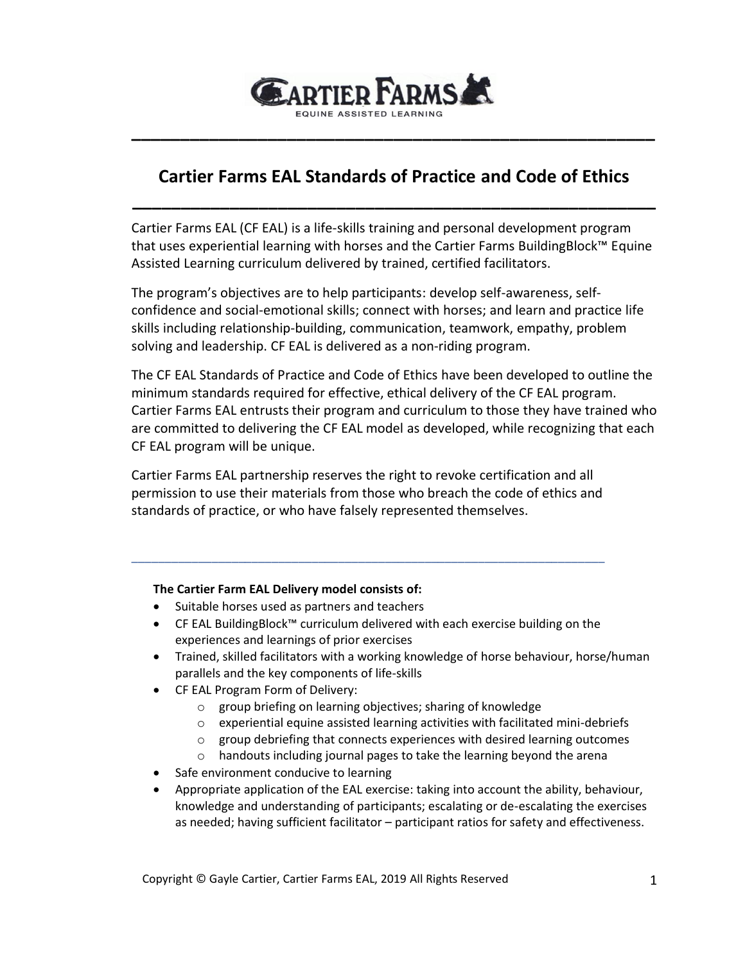

# **Cartier Farms EAL Standards of Practice and Code of Ethics**

**\_\_\_\_\_\_\_\_\_\_\_\_\_\_\_\_\_\_\_\_\_\_\_\_\_\_\_\_\_\_\_\_\_\_\_\_\_\_\_\_\_\_\_\_\_\_\_\_\_\_\_\_\_\_**

**\_\_\_\_\_\_\_\_\_\_\_\_\_\_\_\_\_\_\_\_\_\_\_\_\_\_\_\_\_\_\_\_\_\_\_\_\_\_\_\_\_\_\_\_\_\_\_\_\_\_\_\_\_\_**

Cartier Farms EAL (CF EAL) is a life-skills training and personal development program that uses experiential learning with horses and the Cartier Farms BuildingBlock™ Equine Assisted Learning curriculum delivered by trained, certified facilitators.

The program's objectives are to help participants: develop self-awareness, selfconfidence and social-emotional skills; connect with horses; and learn and practice life skills including relationship-building, communication, teamwork, empathy, problem solving and leadership. CF EAL is delivered as a non-riding program.

The CF EAL Standards of Practice and Code of Ethics have been developed to outline the minimum standards required for effective, ethical delivery of the CF EAL program. Cartier Farms EAL entrusts their program and curriculum to those they have trained who are committed to delivering the CF EAL model as developed, while recognizing that each CF EAL program will be unique.

Cartier Farms EAL partnership reserves the right to revoke certification and all permission to use their materials from those who breach the code of ethics and standards of practice, or who have falsely represented themselves.

\_\_\_\_\_\_\_\_\_\_\_\_\_\_\_\_\_\_\_\_\_\_\_\_\_\_\_\_\_\_\_\_\_\_\_\_\_\_\_\_\_\_\_\_\_\_\_\_\_\_\_\_\_\_\_\_\_\_\_\_\_\_\_\_\_\_\_\_\_\_\_

#### **The Cartier Farm EAL Delivery model consists of:**

- Suitable horses used as partners and teachers
- CF EAL BuildingBlock™ curriculum delivered with each exercise building on the experiences and learnings of prior exercises
- Trained, skilled facilitators with a working knowledge of horse behaviour, horse/human parallels and the key components of life-skills
- CF EAL Program Form of Delivery:
	- o group briefing on learning objectives; sharing of knowledge
	- o experiential equine assisted learning activities with facilitated mini-debriefs
	- o group debriefing that connects experiences with desired learning outcomes
	- o handouts including journal pages to take the learning beyond the arena
- Safe environment conducive to learning
- Appropriate application of the EAL exercise: taking into account the ability, behaviour, knowledge and understanding of participants; escalating or de-escalating the exercises as needed; having sufficient facilitator – participant ratios for safety and effectiveness.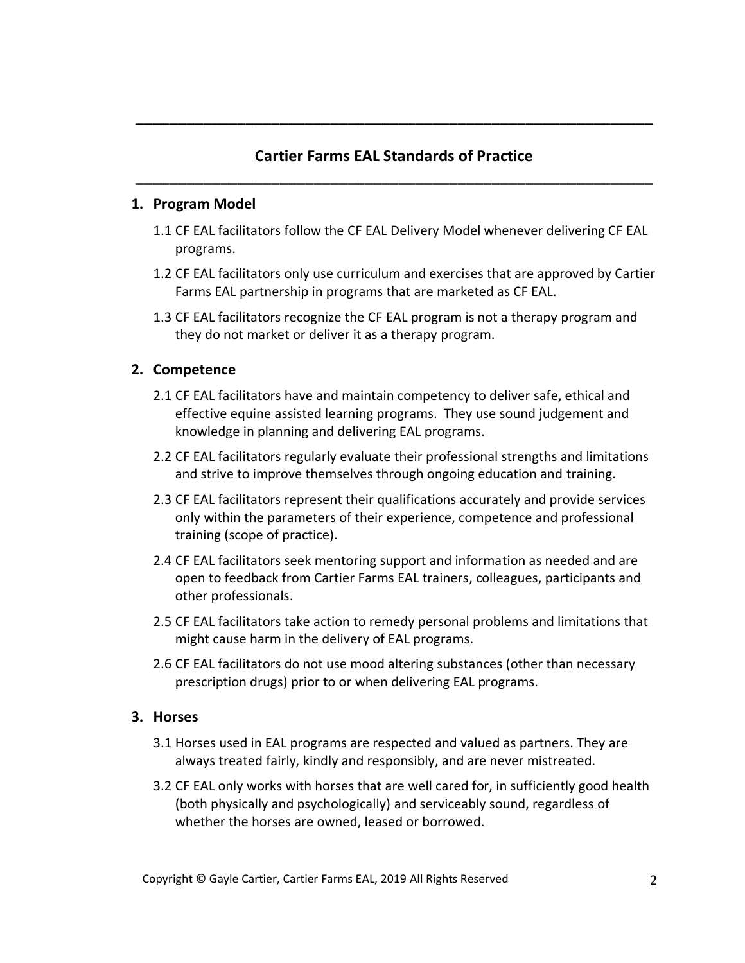# **Cartier Farms EAL Standards of Practice \_\_\_\_\_\_\_\_\_\_\_\_\_\_\_\_\_\_\_\_\_\_\_\_\_\_\_\_\_\_\_\_\_\_\_\_\_\_\_\_\_\_\_\_\_\_\_\_\_\_\_\_\_\_\_\_\_\_\_\_\_**

**\_\_\_\_\_\_\_\_\_\_\_\_\_\_\_\_\_\_\_\_\_\_\_\_\_\_\_\_\_\_\_\_\_\_\_\_\_\_\_\_\_\_\_\_\_\_\_\_\_\_\_\_\_\_\_\_\_\_\_\_\_**

#### **1. Program Model**

- 1.1 CF EAL facilitators follow the CF EAL Delivery Model whenever delivering CF EAL programs.
- 1.2 CF EAL facilitators only use curriculum and exercises that are approved by Cartier Farms EAL partnership in programs that are marketed as CF EAL.
- 1.3 CF EAL facilitators recognize the CF EAL program is not a therapy program and they do not market or deliver it as a therapy program.

### **2. Competence**

- 2.1 CF EAL facilitators have and maintain competency to deliver safe, ethical and effective equine assisted learning programs. They use sound judgement and knowledge in planning and delivering EAL programs.
- 2.2 CF EAL facilitators regularly evaluate their professional strengths and limitations and strive to improve themselves through ongoing education and training.
- 2.3 CF EAL facilitators represent their qualifications accurately and provide services only within the parameters of their experience, competence and professional training (scope of practice).
- 2.4 CF EAL facilitators seek mentoring support and information as needed and are open to feedback from Cartier Farms EAL trainers, colleagues, participants and other professionals.
- 2.5 CF EAL facilitators take action to remedy personal problems and limitations that might cause harm in the delivery of EAL programs.
- 2.6 CF EAL facilitators do not use mood altering substances (other than necessary prescription drugs) prior to or when delivering EAL programs.

### **3. Horses**

- 3.1 Horses used in EAL programs are respected and valued as partners. They are always treated fairly, kindly and responsibly, and are never mistreated.
- 3.2 CF EAL only works with horses that are well cared for, in sufficiently good health (both physically and psychologically) and serviceably sound, regardless of whether the horses are owned, leased or borrowed.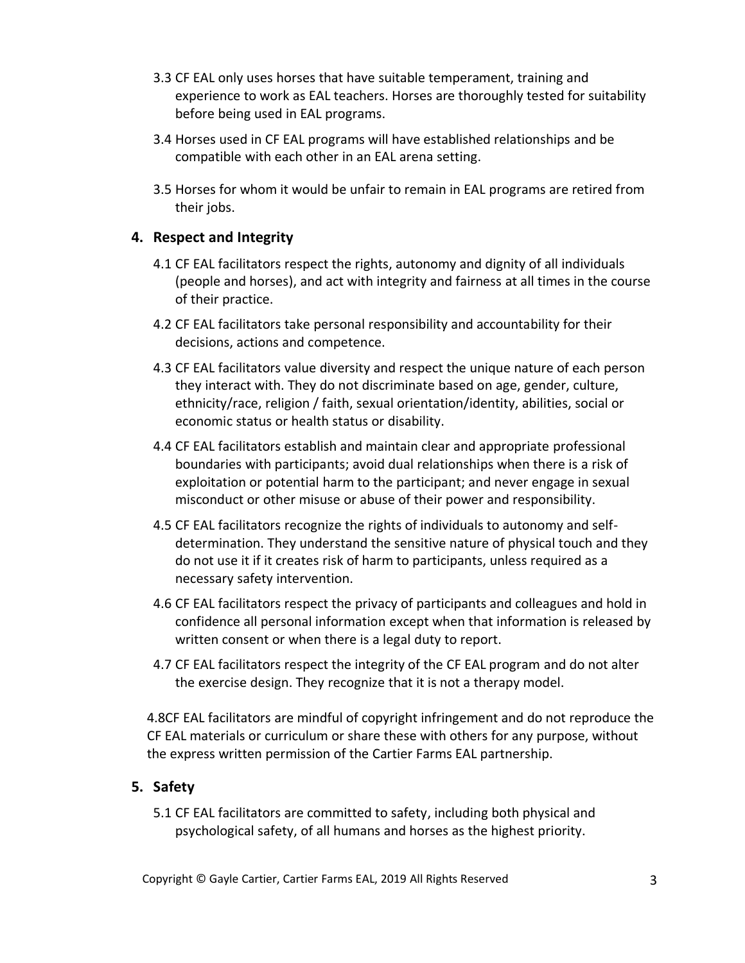- 3.3 CF EAL only uses horses that have suitable temperament, training and experience to work as EAL teachers. Horses are thoroughly tested for suitability before being used in EAL programs.
- 3.4 Horses used in CF EAL programs will have established relationships and be compatible with each other in an EAL arena setting.
- 3.5 Horses for whom it would be unfair to remain in EAL programs are retired from their jobs.

### **4. Respect and Integrity**

- 4.1 CF EAL facilitators respect the rights, autonomy and dignity of all individuals (people and horses), and act with integrity and fairness at all times in the course of their practice.
- 4.2 CF EAL facilitators take personal responsibility and accountability for their decisions, actions and competence.
- 4.3 CF EAL facilitators value diversity and respect the unique nature of each person they interact with. They do not discriminate based on age, gender, culture, ethnicity/race, religion / faith, sexual orientation/identity, abilities, social or economic status or health status or disability.
- 4.4 CF EAL facilitators establish and maintain clear and appropriate professional boundaries with participants; avoid dual relationships when there is a risk of exploitation or potential harm to the participant; and never engage in sexual misconduct or other misuse or abuse of their power and responsibility.
- 4.5 CF EAL facilitators recognize the rights of individuals to autonomy and selfdetermination. They understand the sensitive nature of physical touch and they do not use it if it creates risk of harm to participants, unless required as a necessary safety intervention.
- 4.6 CF EAL facilitators respect the privacy of participants and colleagues and hold in confidence all personal information except when that information is released by written consent or when there is a legal duty to report.
- 4.7 CF EAL facilitators respect the integrity of the CF EAL program and do not alter the exercise design. They recognize that it is not a therapy model.

4.8CF EAL facilitators are mindful of copyright infringement and do not reproduce the CF EAL materials or curriculum or share these with others for any purpose, without the express written permission of the Cartier Farms EAL partnership.

## **5. Safety**

5.1 CF EAL facilitators are committed to safety, including both physical and psychological safety, of all humans and horses as the highest priority.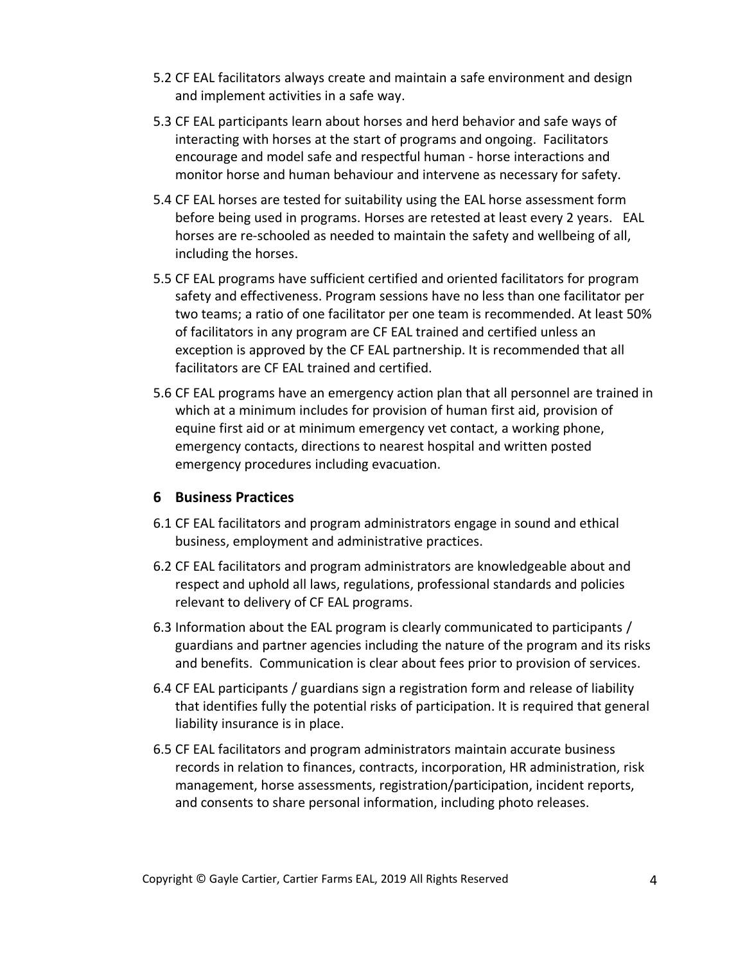- 5.2 CF EAL facilitators always create and maintain a safe environment and design and implement activities in a safe way.
- 5.3 CF EAL participants learn about horses and herd behavior and safe ways of interacting with horses at the start of programs and ongoing. Facilitators encourage and model safe and respectful human - horse interactions and monitor horse and human behaviour and intervene as necessary for safety.
- 5.4 CF EAL horses are tested for suitability using the EAL horse assessment form before being used in programs. Horses are retested at least every 2 years. EAL horses are re-schooled as needed to maintain the safety and wellbeing of all, including the horses.
- 5.5 CF EAL programs have sufficient certified and oriented facilitators for program safety and effectiveness. Program sessions have no less than one facilitator per two teams; a ratio of one facilitator per one team is recommended. At least 50% of facilitators in any program are CF EAL trained and certified unless an exception is approved by the CF EAL partnership. It is recommended that all facilitators are CF EAL trained and certified.
- 5.6 CF EAL programs have an emergency action plan that all personnel are trained in which at a minimum includes for provision of human first aid, provision of equine first aid or at minimum emergency vet contact, a working phone, emergency contacts, directions to nearest hospital and written posted emergency procedures including evacuation.

#### **6 Business Practices**

- 6.1 CF EAL facilitators and program administrators engage in sound and ethical business, employment and administrative practices.
- 6.2 CF EAL facilitators and program administrators are knowledgeable about and respect and uphold all laws, regulations, professional standards and policies relevant to delivery of CF EAL programs.
- 6.3 Information about the EAL program is clearly communicated to participants / guardians and partner agencies including the nature of the program and its risks and benefits. Communication is clear about fees prior to provision of services.
- 6.4 CF EAL participants / guardians sign a registration form and release of liability that identifies fully the potential risks of participation. It is required that general liability insurance is in place.
- 6.5 CF EAL facilitators and program administrators maintain accurate business records in relation to finances, contracts, incorporation, HR administration, risk management, horse assessments, registration/participation, incident reports, and consents to share personal information, including photo releases.